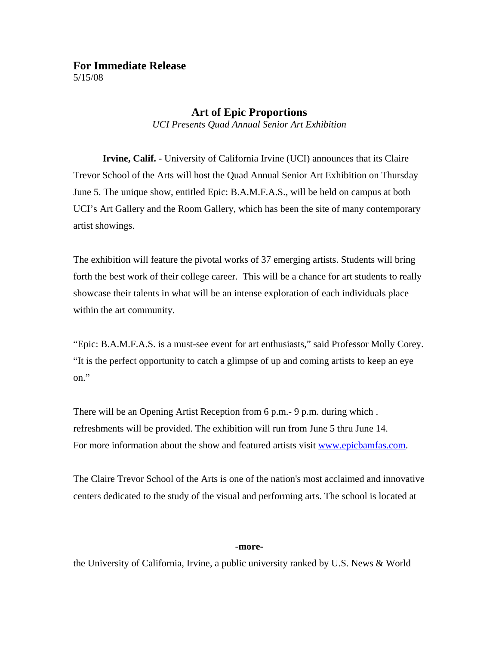## **For Immediate Release**  5/15/08

## **Art of Epic Proportions**

*UCI Presents Quad Annual Senior Art Exhibition* 

 **Irvine, Calif.** - University of California Irvine (UCI) announces that its Claire Trevor School of the Arts will host the Quad Annual Senior Art Exhibition on Thursday June 5. The unique show, entitled Epic: B.A.M.F.A.S., will be held on campus at both UCI's Art Gallery and the Room Gallery, which has been the site of many contemporary artist showings.

The exhibition will feature the pivotal works of 37 emerging artists. Students will bring forth the best work of their college career. This will be a chance for art students to really showcase their talents in what will be an intense exploration of each individuals place within the art community.

"Epic: B.A.M.F.A.S. is a must-see event for art enthusiasts," said Professor Molly Corey. "It is the perfect opportunity to catch a glimpse of up and coming artists to keep an eye on."

There will be an Opening Artist Reception from 6 p.m.- 9 p.m. during which . refreshments will be provided. The exhibition will run from June 5 thru June 14. For more information about the show and featured artists visit [www.epicbamfas.com.](http://www.epicbamfas.com/)

The Claire Trevor School of the Arts is one of the nation's most acclaimed and innovative centers dedicated to the study of the visual and performing arts. The school is located at

## -**more-**

the University of California, Irvine, a public university ranked by U.S. News & World